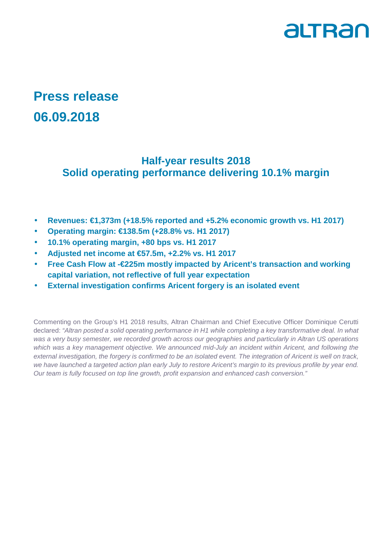

## **Press release 06.09.2018**

## **Half-year results 2018 Solid operating performance delivering 10.1% margin**

- **Revenues: €1,373m (+18.5% reported and +5.2% economic growth vs. H1 2017)**
- **Operating margin: €138.5m (+28.8% vs. H1 2017)**
- **10.1% operating margin, +80 bps vs. H1 2017**
- **Adjusted net income at €57.5m, +2.2% vs. H1 2017**
- **Free Cash Flow at -€225m mostly impacted by Aricent's transaction and working capital variation, not reflective of full year expectation**
- **External investigation confirms Aricent forgery is an isolated event**

Commenting on the Group's H1 2018 results, Altran Chairman and Chief Executive Officer Dominique Cerutti declared: "Altran posted a solid operating performance in H1 while completing a key transformative deal. In what was a very busy semester, we recorded growth across our geographies and particularly in Altran US operations which was a key management objective. We announced mid-July an incident within Aricent, and following the external investigation, the forgery is confirmed to be an isolated event. The integration of Aricent is well on track, we have launched a targeted action plan early July to restore Aricent's margin to its previous profile by year end. Our team is fully focused on top line growth, profit expansion and enhanced cash conversion."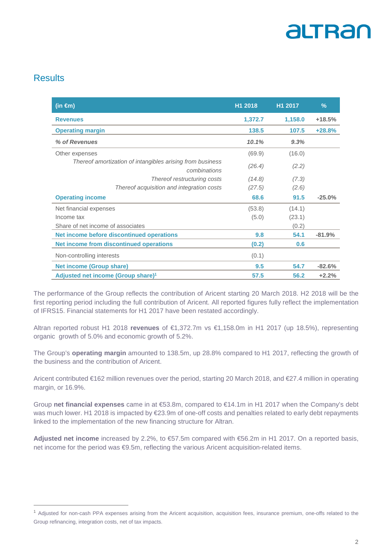### Results

 $\overline{a}$ 

| (in $\epsilon$ m)                                                         | H1 2018 | H1 2017 | $\frac{9}{6}$ |
|---------------------------------------------------------------------------|---------|---------|---------------|
| <b>Revenues</b>                                                           | 1,372.7 | 1,158.0 | $+18.5%$      |
| <b>Operating margin</b>                                                   | 138.5   | 107.5   | $+28.8%$      |
| % of Revenues                                                             | 10.1%   | 9.3%    |               |
| Other expenses                                                            | (69.9)  | (16.0)  |               |
| Thereof amortization of intangibles arising from business<br>combinations | (26.4)  | (2.2)   |               |
| Thereof restructuring costs                                               | (14.8)  | (7.3)   |               |
| Thereof acquisition and integration costs                                 | (27.5)  | (2.6)   |               |
| <b>Operating income</b>                                                   | 68.6    | 91.5    | $-25.0%$      |
| Net financial expenses                                                    | (53.8)  | (14.1)  |               |
| Income tax                                                                | (5.0)   | (23.1)  |               |
| Share of net income of associates                                         |         | (0.2)   |               |
| Net income before discontinued operations                                 | 9.8     | 54.1    | $-81.9%$      |
| Net income from discontinued operations                                   | (0.2)   | 0.6     |               |
| Non-controlling interests                                                 | (0.1)   |         |               |
| <b>Net income (Group share)</b>                                           | 9.5     | 54.7    | $-82.6%$      |
| Adjusted net income (Group share) <sup>1</sup>                            | 57.5    | 56.2    | $+2.2%$       |

The performance of the Group reflects the contribution of Aricent starting 20 March 2018. H2 2018 will be the first reporting period including the full contribution of Aricent. All reported figures fully reflect the implementation of IFRS15. Financial statements for H1 2017 have been restated accordingly.

Altran reported robust H1 2018 revenues of €1,372.7m vs €1,158.0m in H1 2017 (up 18.5%), representing organic growth of 5.0% and economic growth of 5.2%.

The Group's **operating margin** amounted to 138.5m, up 28.8% compared to H1 2017, reflecting the growth of the business and the contribution of Aricent.

Aricent contributed €162 million revenues over the period, starting 20 March 2018, and €27.4 million in operating margin, or 16.9%.

Group **net financial expenses** came in at €53.8m, compared to €14.1m in H1 2017 when the Company's debt was much lower. H1 2018 is impacted by €23.9m of one-off costs and penalties related to early debt repayments linked to the implementation of the new financing structure for Altran.

**Adjusted net income** increased by 2.2%, to €57.5m compared with €56.2m in H1 2017. On a reported basis, net income for the period was €9.5m, reflecting the various Aricent acquisition-related items.

<sup>1</sup> Adjusted for non-cash PPA expenses arising from the Aricent acquisition, acquisition fees, insurance premium, one-offs related to the Group refinancing, integration costs, net of tax impacts.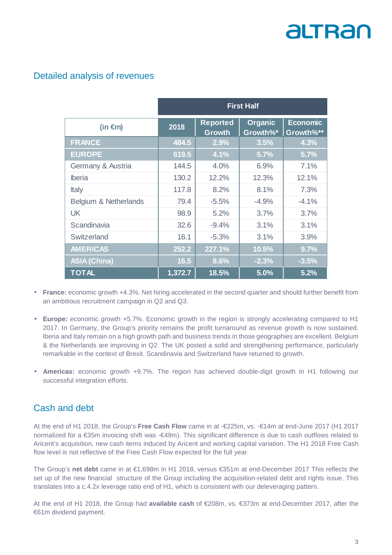### Detailed analysis of revenues

|                       | <b>First Half</b> |                                  |                            |                              |
|-----------------------|-------------------|----------------------------------|----------------------------|------------------------------|
| (in €m)               | 2018              | <b>Reported</b><br><b>Growth</b> | <b>Organic</b><br>Growth%* | <b>Economic</b><br>Growth%** |
| <b>FRANCE</b>         | 484.5             | 2.9%                             | 3.5%                       | 4.3%                         |
| <b>EUROPE</b>         | 619.5             | 4.1%                             | 5.7%                       | 5.7%                         |
| Germany & Austria     | 144.5             | 4.0%                             | 6.9%                       | 7.1%                         |
| <b>Iberia</b>         | 130.2             | 12.2%                            | 12.3%                      | 12.1%                        |
| <b>Italy</b>          | 117.8             | 8.2%                             | 8.1%                       | 7.3%                         |
| Belgium & Netherlands | 79.4              | $-5.5%$                          | $-4.9%$                    | $-4.1%$                      |
| <b>UK</b>             | 98.9              | 5.2%                             | 3.7%                       | 3.7%                         |
| Scandinavia           | 32.6              | $-9.4%$                          | 3.1%                       | 3.1%                         |
| Switzerland           | 16.1              | $-5.3%$                          | 3.1%                       | 3.9%                         |
| <b>AMERICAS</b>       | 252.2             | 227.1%                           | 10.5%                      | 9.7%                         |
| <b>ASIA (China)</b>   | 16.5              | 8.6%                             | $-2.3%$                    | $-3.5%$                      |
| <b>TOTAL</b>          | 1,372.7           | 18.5%                            | 5.0%                       | 5.2%                         |

- **France:** economic growth +4.3%. Net hiring accelerated in the second quarter and should further benefit from an ambitious recruitment campaign in Q2 and Q3.
- **Europe:** economic growth +5.7%. Economic growth in the region is strongly accelerating compared to H1 2017. In Germany, the Group's priority remains the profit turnaround as revenue growth is now sustained. Iberia and Italy remain on a high growth path and business trends in those geographies are excellent. Belgium & the Netherlands are improving in Q2. The UK posted a solid and strengthening performance, particularly remarkable in the context of Brexit. Scandinavia and Switzerland have returned to growth.
- **Americas:** economic growth +9.7%. The region has achieved double-digit growth in H1 following our successful integration efforts.

## Cash and debt

At the end of H1 2018, the Group's **Free Cash Flow** came in at -€225m, vs. -€14m at end-June 2017 (H1 2017 normalized for a €35m invoicing shift was -€49m). This significant difference is due to cash outflows related to Aricent's acquisition, new cash items induced by Aricent and working capital variation. The H1 2018 Free Cash flow level is not reflective of the Free Cash Flow expected for the full year.

The Group's **net debt** came in at €1,698m in H1 2018, versus €351m at end-December 2017 This reflects the set up of the new financial structure of the Group including the acquisition-related debt and rights issue. This translates into a c.4.2x leverage ratio end of H1, which is consistent with our deleveraging pattern.

At the end of H1 2018, the Group had **available cash** of €208m, vs. €373m at end-December 2017, after the €61m dividend payment.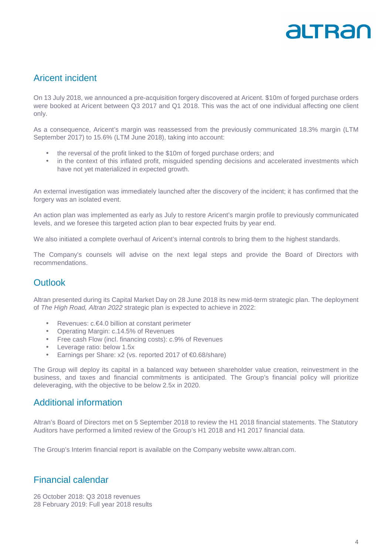### Aricent incident

On 13 July 2018, we announced a pre-acquisition forgery discovered at Aricent. \$10m of forged purchase orders were booked at Aricent between Q3 2017 and Q1 2018. This was the act of one individual affecting one client only.

As a consequence, Aricent's margin was reassessed from the previously communicated 18.3% margin (LTM September 2017) to 15.6% (LTM June 2018), taking into account:

- the reversal of the profit linked to the \$10m of forged purchase orders; and
- in the context of this inflated profit, misguided spending decisions and accelerated investments which have not yet materialized in expected growth.

An external investigation was immediately launched after the discovery of the incident; it has confirmed that the forgery was an isolated event.

An action plan was implemented as early as July to restore Aricent's margin profile to previously communicated levels, and we foresee this targeted action plan to bear expected fruits by year end.

We also initiated a complete overhaul of Aricent's internal controls to bring them to the highest standards.

The Company's counsels will advise on the next legal steps and provide the Board of Directors with recommendations.

#### **Outlook**

Altran presented during its Capital Market Day on 28 June 2018 its new mid-term strategic plan. The deployment of The High Road, Altran 2022 strategic plan is expected to achieve in 2022:

- Revenues: c.€4.0 billion at constant perimeter
- Operating Margin: c.14.5% of Revenues
- Free cash Flow (incl. financing costs): c.9% of Revenues
- Leverage ratio: below 1.5x
- Earnings per Share: x2 (vs. reported 2017 of €0.68/share)

The Group will deploy its capital in a balanced way between shareholder value creation, reinvestment in the business, and taxes and financial commitments is anticipated. The Group's financial policy will prioritize deleveraging, with the objective to be below 2.5x in 2020.

#### Additional information

Altran's Board of Directors met on 5 September 2018 to review the H1 2018 financial statements. The Statutory Auditors have performed a limited review of the Group's H1 2018 and H1 2017 financial data.

The Group's Interim financial report is available on the Company website www.altran.com.

#### Financial calendar

26 October 2018: Q3 2018 revenues 28 February 2019: Full year 2018 results